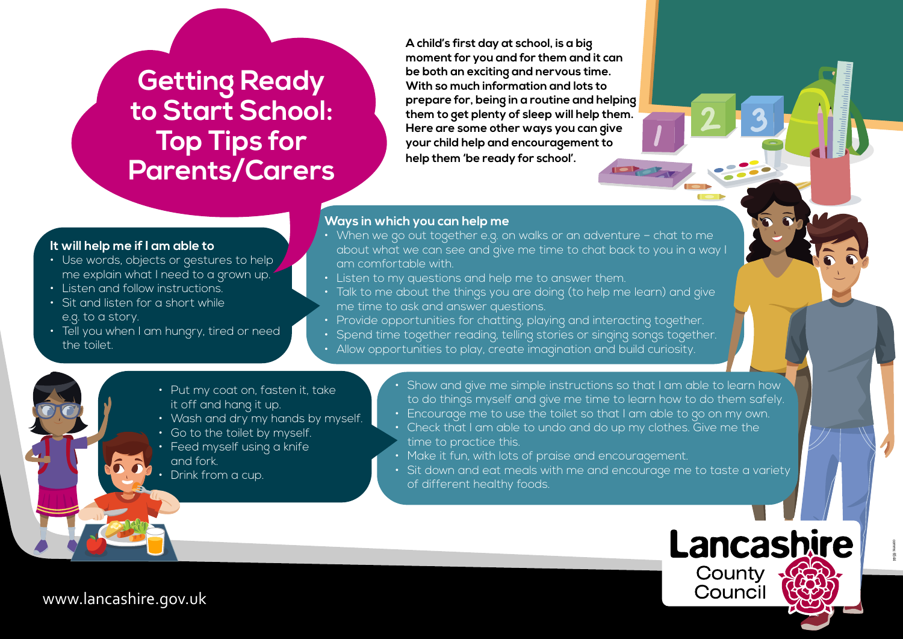# **Getting Ready to Start School: Top Tips for Parents/Carers**

**A child's first day at school, is a big moment for you and for them and it can be both an exciting and nervous time. With so much information and lots to prepare for, being in a routine and helping them to get plenty of sleep will help them. Here are some other ways you can give your child help and encouragement to help them 'be ready for school'.**

# **Ways in which you can help me**

- When we go out together e.g. on walks or an adventure chat to me about what we can see and give me time to chat back to you in a way I am comfortable with.
- Listen to my questions and help me to answer them.
- Talk to me about the things you are doing (to help me learn) and give me time to ask and answer questions.
- Provide opportunities for chatting, playing and interacting together.
- Spend time together reading, telling stories or singing songs together.
- Allow opportunities to play, create imagination and build curiosity.

# **It will help me if I am able to**

- Use words, objects or gestures to help me explain what I need to a grown up.
- Listen and follow instructions
- Sit and listen for a short while e.g. to a story.
- Tell you when I am hungry, tired or need the toilet.
	- Put my coat on, fasten it, take it off and hang it up.
	- Wash and dry my hands by myself.
	- Go to the toilet by myself.
	- Feed myself using a knife and fork.
	- Drink from a cup.
- Show and give me simple instructions so that I am able to learn how to do things myself and give me time to learn how to do them safely.
- Encourage me to use the toilet so that I am able to go on my own.
- Check that I am able to undo and do up my clothes. Give me the time to practice this.
- Make it fun, with lots of praise and encouragement.
- Sit down and eat meals with me and encourage me to taste a variety of different healthy foods.



comms: 6544

www.lancashire.gov.uk